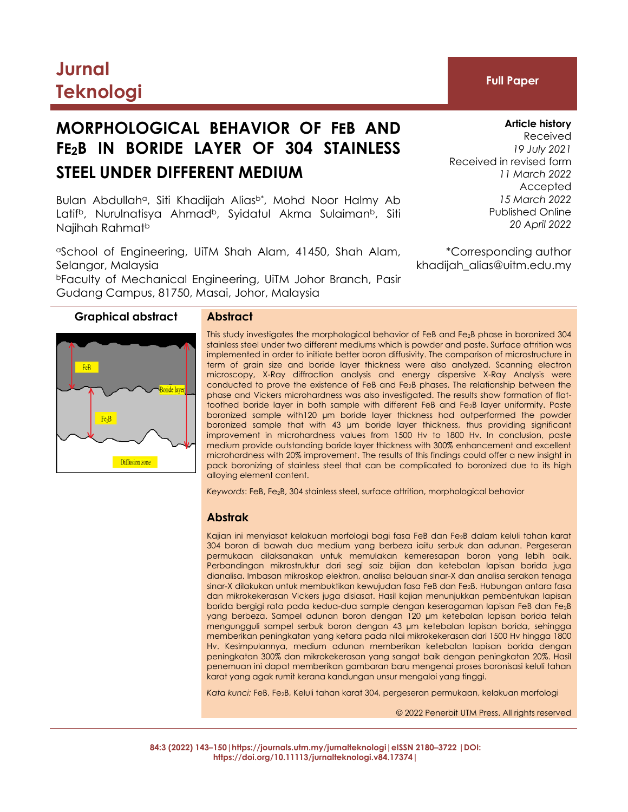## **Jurnal Teknologi Full Paper**

## **MORPHOLOGICAL BEHAVIOR OF FEB AND FE2B IN BORIDE LAYER OF 304 STAINLESS STEEL UNDER DIFFERENT MEDIUM**

Bulan Abdullah<sup>a</sup>, Siti Khadijah Alias<sup>b\*</sup>, Mohd Noor Halmy Ab Latif<sup>b</sup>, Nurulnatisya Ahmad<sup>b</sup>, Syidatul Akma Sulaiman<sup>b</sup>, Siti Najihah Rahmat<sup>b</sup>

<sup>a</sup>School of Engineering, UiTM Shah Alam, 41450, Shah Alam, Selangor, Malaysia <sup>b</sup>Faculty of Mechanical Engineering, UiTM Johor Branch, Pasir

Gudang Campus, 81750, Masai, Johor, Malaysia

**Graphical abstract Abstract**

# FeB  $Fe<sub>2</sub>B$ Diffusion zone

This study investigates the morphological behavior of FeB and Fe2B phase in boronized 304 stainless steel under two different mediums which is powder and paste. Surface attrition was implemented in order to initiate better boron diffusivity. The comparison of microstructure in term of grain size and boride layer thickness were also analyzed. Scanning electron microscopy, X-Ray diffraction analysis and energy dispersive X-Ray Analysis were conducted to prove the existence of FeB and Fe2B phases. The relationship between the phase and Vickers microhardness was also investigated. The results show formation of flattoothed boride layer in both sample with different FeB and Fe<sub>2</sub>B layer uniformity. Paste boronized sample with120 µm boride layer thickness had outperformed the powder boronized sample that with 43 µm boride layer thickness, thus providing significant improvement in microhardness values from 1500 Hv to 1800 Hv. In conclusion, paste medium provide outstanding boride layer thickness with 300% enhancement and excellent microhardness with 20% improvement. The results of this findings could offer a new insight in pack boronizing of stainless steel that can be complicated to boronized due to its high alloying element content.

*Keywords*: FeB, Fe2B, 304 stainless steel, surface attrition, morphological behavior

#### **Abstrak**

Kajian ini menyiasat kelakuan morfologi bagi fasa FeB dan Fe2B dalam keluli tahan karat 304 boron di bawah dua medium yang berbeza iaitu serbuk dan adunan. Pergeseran permukaan dilaksanakan untuk memulakan kemeresapan boron yang lebih baik. Perbandingan mikrostruktur dari segi saiz bijian dan ketebalan lapisan borida juga dianalisa. Imbasan mikroskop elektron, analisa belauan sinar-X dan analisa serakan tenaga sinar-X dilakukan untuk membuktikan kewujudan fasa FeB dan Fe2B. Hubungan antara fasa dan mikrokekerasan Vickers juga disiasat. Hasil kajian menunjukkan pembentukan lapisan borida bergigi rata pada kedua-dua sample dengan keseragaman lapisan FeB dan Fe2B yang berbeza. Sampel adunan boron dengan 120 µm ketebalan lapisan borida telah mengungguli sampel serbuk boron dengan 43 µm ketebalan lapisan borida, sehingga memberikan peningkatan yang ketara pada nilai mikrokekerasan dari 1500 Hv hingga 1800 Hv. Kesimpulannya, medium adunan memberikan ketebalan lapisan borida dengan peningkatan 300% dan mikrokekerasan yang sangat baik dengan peningkatan 20%. Hasil penemuan ini dapat memberikan gambaran baru mengenai proses boronisasi keluli tahan karat yang agak rumit kerana kandungan unsur mengaloi yang tinggi.

*Kata kunci:* FeB, Fe2B, Keluli tahan karat 304, pergeseran permukaan, kelakuan morfologi

© 2022 Penerbit UTM Press. All rights reserved

**84:3 (2022) 143–150|https://journals.utm.my/jurnalteknologi|eISSN 2180–3722 |DOI: https://doi.org/10.11113/jurnalteknologi.v84.17374|**

## **Article history**

Received *19 July 2021* Received in revised form *11 March 2022* Accepted *15 March 2022* Published Online *20 April 2022*

\*Corresponding author khadijah\_alias@uitm.edu.my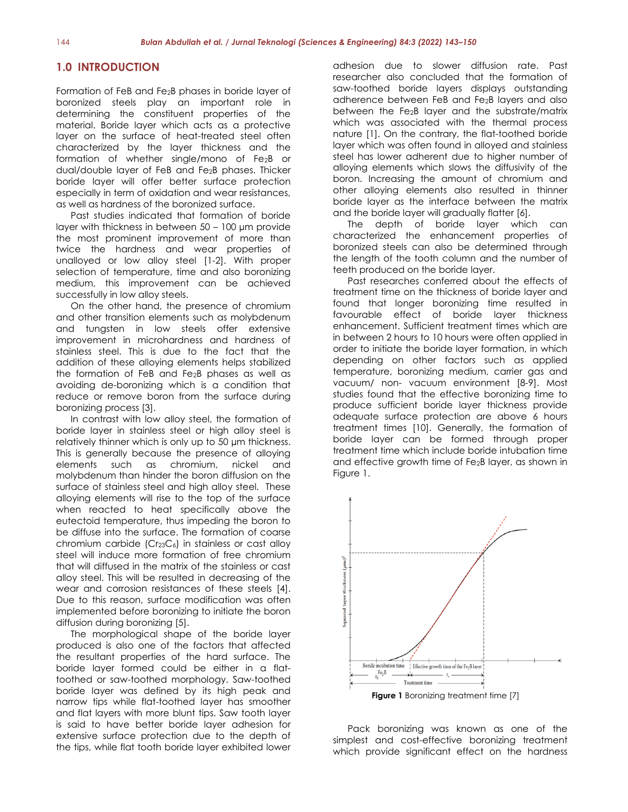#### **1.0 INTRODUCTION**

Formation of FeB and Fe2B phases in boride layer of boronized steels play an important role in determining the constituent properties of the material. Boride layer which acts as a protective layer on the surface of heat-treated steel often characterized by the layer thickness and the formation of whether single/mono of Fe2B or dual/double layer of FeB and Fe2B phases. Thicker boride layer will offer better surface protection especially in term of oxidation and wear resistances, as well as hardness of the boronized surface.

Past studies indicated that formation of boride layer with thickness in between 50 – 100 µm provide the most prominent improvement of more than twice the hardness and wear properties of unalloyed or low alloy steel [1-2]. With proper selection of temperature, time and also boronizing medium, this improvement can be achieved successfully in low alloy steels.

On the other hand, the presence of chromium and other transition elements such as molybdenum and tungsten in low steels offer extensive improvement in microhardness and hardness of stainless steel. This is due to the fact that the addition of these alloying elements helps stabilized the formation of FeB and Fe2B phases as well as avoiding de-boronizing which is a condition that reduce or remove boron from the surface during boronizing process [3].

In contrast with low alloy steel, the formation of boride layer in stainless steel or high alloy steel is relatively thinner which is only up to 50 µm thickness. This is generally because the presence of alloying elements such as chromium, nickel and molybdenum than hinder the boron diffusion on the surface of stainless steel and high alloy steel. These alloying elements will rise to the top of the surface when reacted to heat specifically above the eutectoid temperature, thus impeding the boron to be diffuse into the surface. The formation of coarse chromium carbide  $(Cr_{23}C_6)$  in stainless or cast alloy steel will induce more formation of free chromium that will diffused in the matrix of the stainless or cast alloy steel. This will be resulted in decreasing of the wear and corrosion resistances of these steels [4]. Due to this reason, surface modification was often implemented before boronizing to initiate the boron diffusion during boronizing [5].

The morphological shape of the boride layer produced is also one of the factors that affected the resultant properties of the hard surface. The boride layer formed could be either in a flattoothed or saw-toothed morphology. Saw-toothed boride layer was defined by its high peak and narrow tips while flat-toothed layer has smoother and flat layers with more blunt tips. Saw tooth layer is said to have better boride layer adhesion for extensive surface protection due to the depth of the tips, while flat tooth boride layer exhibited lower adhesion due to slower diffusion rate. Past researcher also concluded that the formation of saw-toothed boride layers displays outstanding adherence between FeB and Fe2B layers and also between the Fe2B layer and the substrate/matrix which was associated with the thermal process nature [1]. On the contrary, the flat-toothed boride layer which was often found in alloyed and stainless steel has lower adherent due to higher number of alloying elements which slows the diffusivity of the boron. Increasing the amount of chromium and other alloying elements also resulted in thinner boride layer as the interface between the matrix and the boride layer will gradually flatter [6].

The depth of boride layer which can characterized the enhancement properties of boronized steels can also be determined through the length of the tooth column and the number of teeth produced on the boride layer.

Past researches conferred about the effects of treatment time on the thickness of boride layer and found that longer boronizing time resulted in favourable effect of boride layer thickness enhancement. Sufficient treatment times which are in between 2 hours to 10 hours were often applied in order to initiate the boride layer formation, in which depending on other factors such as applied temperature, boronizing medium, carrier gas and vacuum/ non- vacuum environment [8-9]. Most studies found that the effective boronizing time to produce sufficient boride layer thickness provide adequate surface protection are above 6 hours treatment times [10]. Generally, the formation of boride layer can be formed through proper treatment time which include boride intubation time and effective growth time of Fe2B layer, as shown in Figure 1.



Pack boronizing was known as one of the simplest and cost-effective boronizing treatment which provide significant effect on the hardness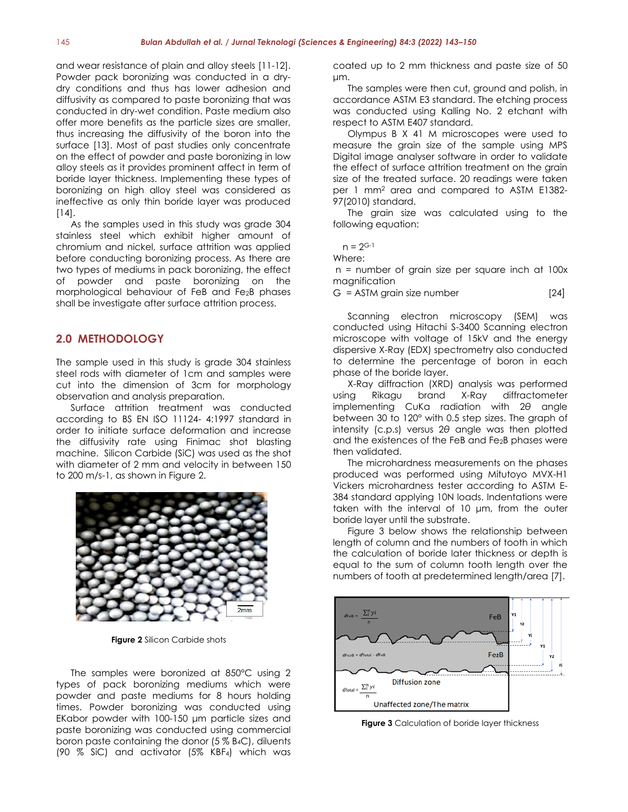and wear resistance of plain and alloy steels [11-12]. Powder pack boronizing was conducted in a drydry conditions and thus has lower adhesion and diffusivity as compared to paste boronizing that was conducted in dry-wet condition. Paste medium also offer more benefits as the particle sizes are smaller, thus increasing the diffusivity of the boron into the surface [13]. Most of past studies only concentrate on the effect of powder and paste boronizing in low alloy steels as it provides prominent affect in term of boride layer thickness. Implementing these types of boronizing on high alloy steel was considered as ineffective as only thin boride layer was produced [14].

As the samples used in this study was grade 304 stainless steel which exhibit higher amount of chromium and nickel, surface attrition was applied before conducting boronizing process. As there are two types of mediums in pack boronizing, the effect of powder and paste boronizing on the morphological behaviour of FeB and Fe2B phases shall be investigate after surface attrition process.

#### **2.0 METHODOLOGY**

The sample used in this study is grade 304 stainless steel rods with diameter of 1cm and samples were cut into the dimension of 3cm for morphology observation and analysis preparation.

Surface attrition treatment was conducted according to BS EN ISO 11124- 4:1997 standard in order to initiate surface deformation and increase the diffusivity rate using Finimac shot blasting machine. Silicon Carbide (SiC) was used as the shot with diameter of 2 mm and velocity in between 150 to 200 m/s-1, as shown in Figure 2.



**Figure 2** Silicon Carbide shots

The samples were boronized at 850°C using 2 types of pack boronizing mediums which were powder and paste mediums for 8 hours holding times. Powder boronizing was conducted using EKabor powder with 100-150 μm particle sizes and paste boronizing was conducted using commercial boron paste containing the donor (5 % B4C), diluents (90 % SiC) and activator (5% KBF4) which was coated up to 2 mm thickness and paste size of 50 μm.

The samples were then cut, ground and polish, in accordance ASTM E3 standard. The etching process was conducted using Kalling No. 2 etchant with respect to ASTM E407 standard.

Olympus B X 41 M microscopes were used to measure the grain size of the sample using MPS Digital image analyser software in order to validate the effect of surface attrition treatment on the grain size of the treated surface. 20 readings were taken per 1 mm<sup>2</sup> area and compared to ASTM E1382- 97(2010) standard.

The grain size was calculated using to the following equation:

 $n = 2^{G-1}$ 

Where:

n = number of grain size per square inch at 100x magnification

 $G = ASTM$  grain size number [24]

Scanning electron microscopy (SEM) was conducted using Hitachi S-3400 Scanning electron microscope with voltage of 15kV and the energy dispersive X-Ray (EDX) spectrometry also conducted to determine the percentage of boron in each phase of the boride layer.

X-Ray diffraction (XRD) analysis was performed using Rikagu brand X-Ray diffractometer implementing CuKα radiation with 2*θ* angle between 30 to 120° with 0.5 step sizes. The graph of intensity (c.p.s) versus 2*θ* angle was then plotted and the existences of the FeB and Fe2B phases were then validated.

The microhardness measurements on the phases produced was performed using Mitutoyo MVX-H1 Vickers microhardness tester according to ASTM E-384 standard applying 10N loads. Indentations were taken with the interval of 10 μm, from the outer boride layer until the substrate.

Figure 3 below shows the relationship between length of column and the numbers of tooth in which the calculation of boride later thickness or depth is equal to the sum of column tooth length over the numbers of tooth at predetermined length/area [7].



**Figure 3** Calculation of boride layer thickness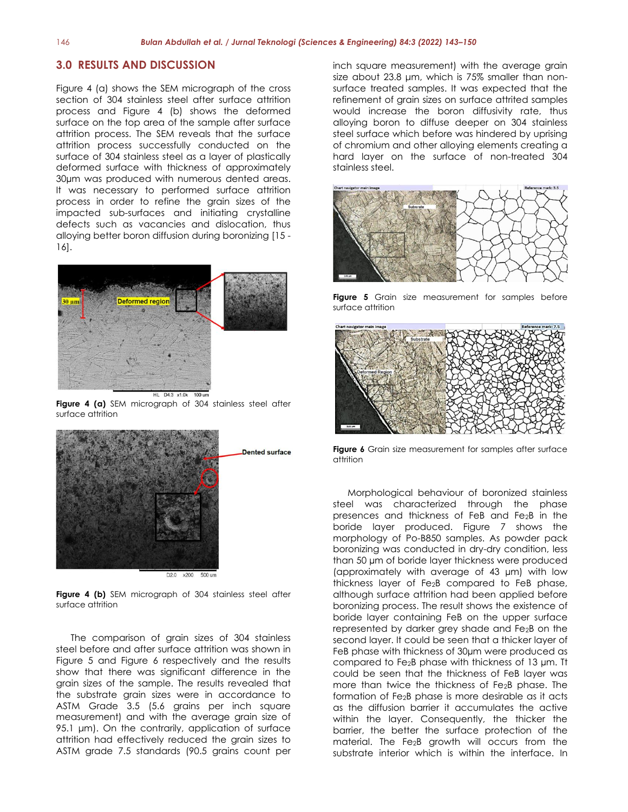#### **3.0 RESULTS AND DISCUSSION**

Figure 4 (a) shows the SEM micrograph of the cross section of 304 stainless steel after surface attrition process and Figure 4 (b) shows the deformed surface on the top area of the sample after surface attrition process. The SEM reveals that the surface attrition process successfully conducted on the surface of 304 stainless steel as a layer of plastically deformed surface with thickness of approximately 30µm was produced with numerous dented areas. It was necessary to performed surface attrition process in order to refine the grain sizes of the impacted sub-surfaces and initiating crystalline defects such as vacancies and dislocation, thus alloying better boron diffusion during boronizing [15 - 16].



**Figure 4 (a)** SEM micrograph of 304 stainless steel after surface attrition



D2.0 x200 500 um

**Figure 4 (b)** SEM micrograph of 304 stainless steel after surface attrition

The comparison of grain sizes of 304 stainless steel before and after surface attrition was shown in Figure 5 and Figure 6 respectively and the results show that there was significant difference in the grain sizes of the sample. The results revealed that the substrate grain sizes were in accordance to ASTM Grade 3.5 (5.6 grains per inch square measurement) and with the average grain size of 95.1 μm). On the contrarily, application of surface attrition had effectively reduced the grain sizes to ASTM grade 7.5 standards (90.5 grains count per inch square measurement) with the average grain size about 23.8 μm, which is 75% smaller than nonsurface treated samples. It was expected that the refinement of grain sizes on surface attrited samples would increase the boron diffusivity rate, thus alloying boron to diffuse deeper on 304 stainless steel surface which before was hindered by uprising of chromium and other alloying elements creating a hard layer on the surface of non-treated 304 stainless steel.



**Figure 5** Grain size measurement for samples before surface attrition



**Figure 6** Grain size measurement for samples after surface attrition

Morphological behaviour of boronized stainless steel was characterized through the phase presences and thickness of FeB and Fe2B in the boride layer produced. Figure 7 shows the morphology of Po-B850 samples. As powder pack boronizing was conducted in dry-dry condition, less than 50 µm of boride layer thickness were produced (approximately with average of 43 µm) with low thickness layer of Fe2B compared to FeB phase, although surface attrition had been applied before boronizing process. The result shows the existence of boride layer containing FeB on the upper surface represented by darker grey shade and Fe2B on the second layer. It could be seen that a thicker layer of FeB phase with thickness of 30µm were produced as compared to Fe2B phase with thickness of 13 µm. Tt could be seen that the thickness of FeB layer was more than twice the thickness of Fe2B phase. The formation of Fe2B phase is more desirable as it acts as the diffusion barrier it accumulates the active within the layer. Consequently, the thicker the barrier, the better the surface protection of the material. The Fe2B growth will occurs from the substrate interior which is within the interface. In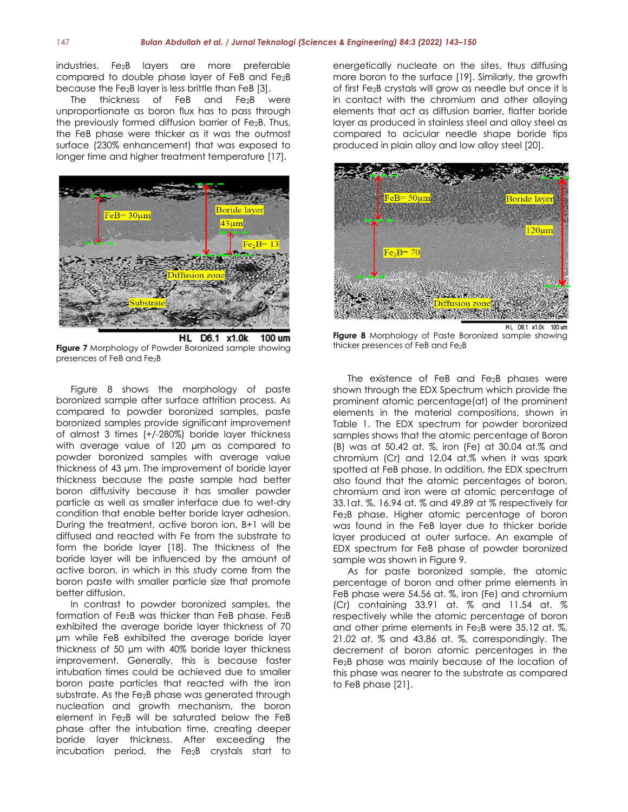industries, Fe2B layers are more preferable compared to double phase layer of FeB and Fe2B because the Fe2B layer is less brittle than FeB [3].

The thickness of FeB and Fe<sub>2</sub>B were unproportionate as boron flux has to pass through the previously formed diffusion barrier of Fe2B. Thus, the FeB phase were thicker as it was the outmost surface (230% enhancement) that was exposed to longer time and higher treatment temperature [17].



HL D6.1 x1.0k 100 um **Figure 7** Morphology of Powder Boronized sample showing presences of FeB and Fe2B

Figure 8 shows the morphology of paste boronized sample after surface attrition process. As compared to powder boronized samples, paste boronized samples provide significant improvement of almost 3 times (+/-280%) boride layer thickness with average value of 120 µm as compared to powder boronized samples with average value thickness of 43 µm. The improvement of boride layer thickness because the paste sample had better boron diffusivity because it has smaller powder particle as well as smaller interface due to wet-dry condition that enable better boride layer adhesion. During the treatment, active boron ion, B+1 will be diffused and reacted with Fe from the substrate to form the boride layer [18]. The thickness of the boride layer will be influenced by the amount of active boron, in which in this study come from the boron paste with smaller particle size that promote better diffusion.

In contrast to powder boronized samples, the formation of Fe<sub>2</sub>B was thicker than FeB phase. Fe<sub>2</sub>B exhibited the average boride layer thickness of 70 µm while FeB exhibited the average boride layer thickness of 50 µm with 40% boride layer thickness improvement. Generally, this is because faster intubation times could be achieved due to smaller boron paste particles that reacted with the iron substrate. As the Fe2B phase was generated through nucleation and growth mechanism, the boron element in Fe2B will be saturated below the FeB phase after the intubation time, creating deeper boride layer thickness. After exceeding the incubation period, the Fe2B crystals start to energetically nucleate on the sites, thus diffusing more boron to the surface [19]. Similarly, the growth of first Fe2B crystals will grow as needle but once it is in contact with the chromium and other alloying elements that act as diffusion barrier, flatter boride layer as produced in stainless steel and alloy steel as compared to acicular needle shape boride tips produced in plain alloy and low alloy steel [20].



**Figure 8** Morphology of Paste Boronized sample showing thicker presences of FeB and Fe2B

The existence of FeB and Fe2B phases were shown through the EDX Spectrum which provide the prominent atomic percentage(at) of the prominent elements in the material compositions, shown in Table 1. The EDX spectrum for powder boronized samples shows that the atomic percentage of Boron (B) was at 50.42 at. %, iron (Fe) at 30.04 at.% and chromium (Cr) and 12.04 at.% when it was spark spotted at FeB phase. In addition, the EDX spectrum also found that the atomic percentages of boron, chromium and iron were at atomic percentage of 33.1at. %, 16.94 at. % and 49.89 at % respectively for Fe2B phase. Higher atomic percentage of boron was found in the FeB layer due to thicker boride layer produced at outer surface. An example of EDX spectrum for FeB phase of powder boronized sample was shown in Figure 9.

As for paste boronized sample, the atomic percentage of boron and other prime elements in FeB phase were 54.56 at. %, iron (Fe) and chromium (Cr) containing 33.91 at. % and 11.54 at. % respectively while the atomic percentage of boron and other prime elements in Fe2B were 35.12 at. %, 21.02 at. % and 43.86 at. %, correspondingly. The decrement of boron atomic percentages in the Fe2B phase was mainly because of the location of this phase was nearer to the substrate as compared to FeB phase [21].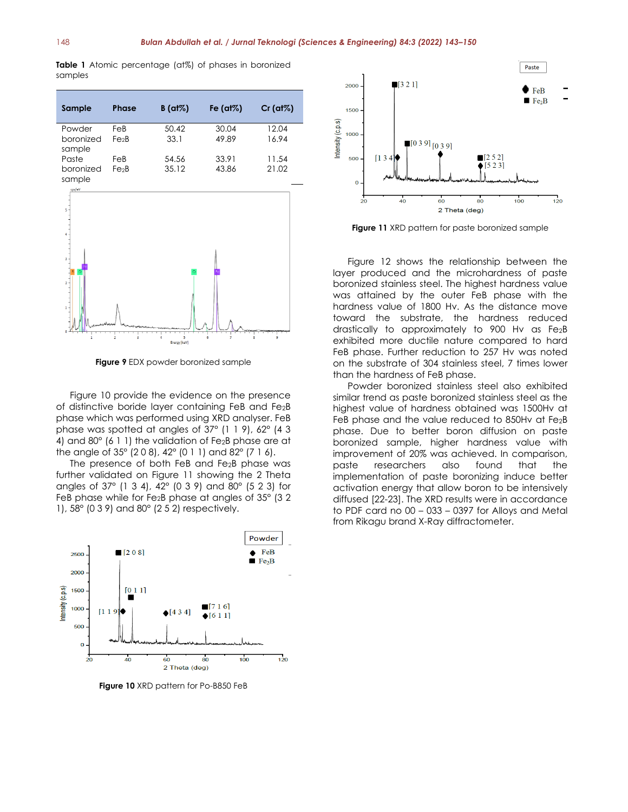**Table 1** Atomic percentage (at%) of phases in boronized samples

| Sample                        | <b>Phase</b>             | $B$ (at%)      | Fe $(at\%)$    | $Cr$ (at%)     |
|-------------------------------|--------------------------|----------------|----------------|----------------|
| Powder<br>boronized<br>sample | FeB<br>Fe <sub>2</sub> B | 50.42<br>33.1  | 30.04<br>49.89 | 12.04<br>16.94 |
| Paste<br>boronized<br>sample  | FeB<br>Fe <sub>2</sub> B | 54.56<br>35.12 | 33.91<br>43.86 | 11.54<br>21.02 |



**Figure 9** EDX powder boronized sample

Figure 10 provide the evidence on the presence of distinctive boride layer containing FeB and Fe2B phase which was performed using XRD analyser. FeB phase was spotted at angles of 37° (1 1 9), 62° (4 3 4) and 80 $^{\circ}$  (6 1 1) the validation of Fe<sub>2</sub>B phase are at the angle of 35° (2 0 8), 42° (0 1 1) and 82° (7 1 6).

The presence of both FeB and Fe2B phase was further validated on Figure 11 showing the 2 Theta angles of 37° (1 3 4), 42° (0 3 9) and 80° (5 2 3) for FeB phase while for Fe2B phase at angles of 35° (3 2 1), 58° (0 3 9) and 80° (2 5 2) respectively.



**Figure 10** XRD pattern for Po-B850 FeB



**Figure 11** XRD pattern for paste boronized sample

Figure 12 shows the relationship between the layer produced and the microhardness of paste boronized stainless steel. The highest hardness value was attained by the outer FeB phase with the hardness value of 1800 Hv. As the distance move toward the substrate, the hardness reduced drastically to approximately to 900 Hv as Fe2B exhibited more ductile nature compared to hard FeB phase. Further reduction to 257 Hv was noted on the substrate of 304 stainless steel, 7 times lower than the hardness of FeB phase.

Powder boronized stainless steel also exhibited similar trend as paste boronized stainless steel as the highest value of hardness obtained was 1500Hv at FeB phase and the value reduced to 850Hv at Fe2B phase. Due to better boron diffusion on paste boronized sample, higher hardness value with improvement of 20% was achieved. In comparison, paste researchers also found that the implementation of paste boronizing induce better activation energy that allow boron to be intensively diffused [22-23]. The XRD results were in accordance to PDF card no 00 – 033 – 0397 for Alloys and Metal from Rikagu brand X-Ray diffractometer.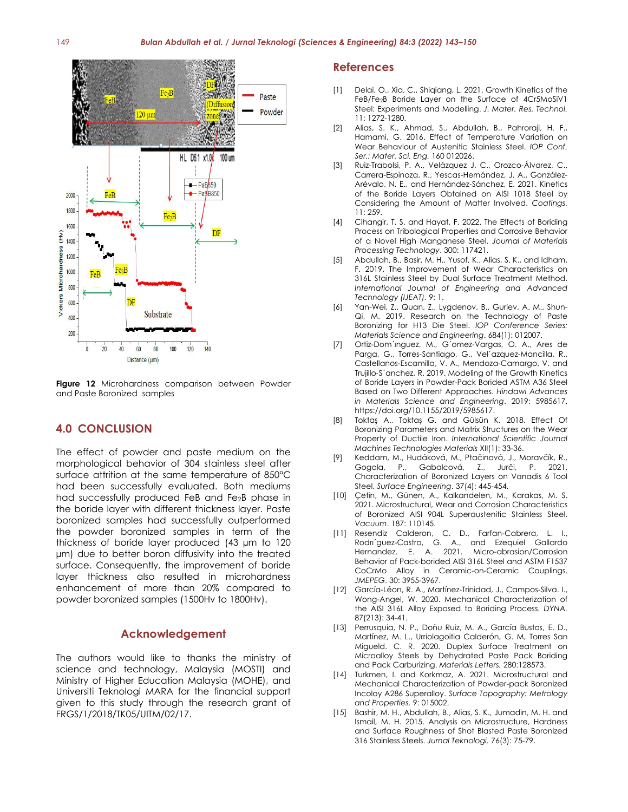

**Figure 12** Microhardness comparison between Powder and Paste Boronized samples

### **4.0 CONCLUSION**

The effect of powder and paste medium on the morphological behavior of 304 stainless steel after surface attrition at the same temperature of 850°C had been successfully evaluated. Both mediums had successfully produced FeB and Fe2B phase in the boride layer with different thickness layer. Paste boronized samples had successfully outperformed the powder boronized samples in term of the thickness of boride layer produced (43 µm to 120 µm) due to better boron diffusivity into the treated surface. Consequently, the improvement of boride layer thickness also resulted in microhardness enhancement of more than 20% compared to powder boronized samples (1500Hv to 1800Hv).

#### **Acknowledgement**

The authors would like to thanks the ministry of science and technology, Malaysia (MOSTI) and Ministry of Higher Education Malaysia (MOHE), and Universiti Teknologi MARA for the financial support given to this study through the research grant of FRGS/1/2018/TK05/UITM/02/17.

#### **References**

- [1] Delai, O., Xia, C., Shiqiang, L. 2021. Growth Kinetics of the FeB/Fe2B Boride Layer on the Surface of 4Cr5MoSiV1 Steel: Experiments and Modelling. *J. Mater. Res. Technol.* 11: 1272-1280.
- [2] Alias, S. K., Ahmad, S., Abdullah, B., Pahroraji, H. F., Hamami, G. 2016. Effect of Temperature Variation on Wear Behaviour of Austenitic Stainless Steel. *IOP Conf. Ser.: Mater. Sci. Eng.* 160 012026.
- [3] Ruiz-Trabolsi, P. A., Velázquez J. C., Orozco-Álvarez, C., Carrera-Espinoza, R., Yescas-Hernández, J. A., González-Arévalo, N. E., and Hernández-Sánchez, E. 2021. Kinetics of the Boride Layers Obtained on AISI 1018 Steel by Considering the Amount of Matter Involved. *Coatings.*  11: 259.
- [4] Cihangir, T. S. and Hayat, F. 2022. The Effects of Boriding Process on Tribological Properties and Corrosive Behavior of a Novel High Manganese Steel. *Journal of Materials Processing Technology*. 300: 117421.
- [5] Abdullah, B., Basir, M. H., Yusof, K., Alias, S. K., and Idham, F. 2019. The Improvement of Wear Characteristics on 316L Stainless Steel by Dual Surface Treatment Method. *International Journal of Engineering and Advanced Technology (IJEAT).* 9: 1.
- [6] Yan-Wei, Z., Quan, Z., Lygdenov, B., Guriev, A. M., Shun-Qi, M. 2019. Research on the Technology of Paste Boronizing for H13 Die Steel. *IOP Conference Series: Materials Science and Engineering*. 684(1): 012007.
- [7] Ortiz-Dom´ınguez, M., G´omez-Vargas, O. A., Ares de Parga, G., Torres-Santiago, G., Vel´azquez-Mancilla, R., Castellanos-Escamilla, V. A., Mendoza-Camargo, V. and Trujillo-S´anchez, R. 2019. Modeling of the Growth Kinetics of Boride Layers in Powder-Pack Borided ASTM A36 Steel Based on Two Different Approaches. *Hindawi Advances in Materials Science and Engineering*. 2019: 5985617. https://doi.org/10.1155/2019/5985617.
- [8] Toktaş A., Toktaş G. and Gülsün K. 2018. Effect Of Boronizing Parameters and Matrix Structures on the Wear Property of Ductile Iron. *International Scientific Journal Machines Technologies Materials* XII(1): 33-36.
- [9] Keddam, M., Hudáková, M., Ptačinová, J., Moravčík, R., Gogola, P., Gabalcová, Z., Jurči, P. 2021. Characterization of Boronized Layers on Vanadis 6 Tool Steel. *Surface Engineering*. 37(4): 445-454.
- [10] Cetin, M., Günen, A., Kalkandelen, M., Karakas, M. S. 2021. Microstructural, Wear and Corrosion Characteristics of Boronized AISI 904L Superaustenitic Stainless Steel. *Vacuum*. 187: 110145.
- [11] Resendiz Calderon, C. D., Farfan-Cabrera, L. I., Rodrı´guez-Castro, G. A., and Ezequiel Gallardo Hernandez. E. A. 2021. Micro-abrasion/Corrosion Behavior of Pack-borided AISI 316L Steel and ASTM F1537 CoCrMo Alloy in Ceramic-on-Ceramic Couplings. *JMEPEG*. 30: 3955-3967.
- [12] García-Léon, R. A., Martínez-Trinidad, J., Campos-Silva. I., Wong-Angel, W. 2020. Mechanical Characterization of the AISI 316L Alloy Exposed to Boriding Process. *DYNA.* 87(213): 34-41.
- [13] Perrusquia, N. P., Doñu Ruiz, M. A., García Bustos, E. D., Martínez, M. L., Urriolagoitia Calderón, G. M, Torres San Migueld. C. R. 2020. Duplex Surface Treatment on Microalloy Steels by Dehydrated Paste Pack Boriding and Pack Carburizing. *Materials Letters.* 280:128573.
- [14] Turkmen, I. and Korkmaz, A. 2021. Microstructural and Mechanical Characterization of Powder-pack Boronized Incoloy A286 Superalloy. *[Surface Topography: Metrology](https://www.scopus.com/sourceid/21100469364)  [and Properties.](https://www.scopus.com/sourceid/21100469364)* 9: 015002.
- [15] Bashir, M. H., Abdullah, B., Alias, S. K., Jumadin, M. H. and Ismail, M. H. 2015. Analysis on Microstructure, Hardness and Surface Roughness of Shot Blasted Paste Boronized 316 Stainless Steels. *Jurnal Teknologi.* 76(3): 75-79.